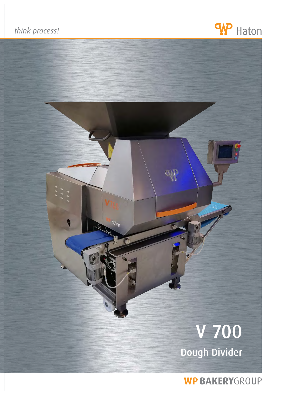## think process!





**WP BAKERYGROUP**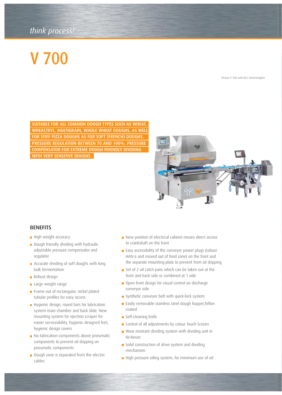## *think process! think process!*

# V 700

Picture V 700 with OCS Checkweigher

SUITABLE FOR ALL COMMON DOUGH TYPES SUCH AS WHEAT, WHEAT/RYE, MULTIGRAIN, WHOLE WHEAT DOUGHS, AS WELL FOR STIFF PIZZA DOUGHS AS FOR SOFT (FRENCH) DOUGHS. PRESSURE REGULATION BETWEEN 70 AND 100%. PRESSURE COMPENSATOR FOR EXTREME DOUGH FRIENDLY DIVIDING WITH VERY SENSITIVE DOUGHS.



#### **BENEFITS**

- High weight accuracy
- Dough friendly dividing with hydraulic adjustable pressure compensator and regulator
- **Accurate dividing of soft doughs with long** bulk fermentation
- Robust design
- Large weight range
- Frame out of rectangular, nickel plated tubular profiles for easy access
- Hygienic design, round bars for lubrication system main chamber and back slide. New mounting system for ejection scraper for easier serviceability, hygienic designed feet, hygienic design covers
- No lubrication components above pneumatic components to prevent oil dripping on pneumatic components
- Dough zone is separated from the electric cables
- New position of electrical cabinet means direct access to crankshaft on the front
- **Easy accessibility of the conveyor power plugs (robust** HAN 6 and moved out of food zone) on the front and the separate mounting plate to prevent from oil dripping
- Set of 2 oil catch pans which can be taken out at the front and back side or combined at 1 side
- Open front design for visual control on discharge conveyor side
- Synthetic conveyor belt with quick-lock system
- **Easily removable stainless steel dough hopper, Teflon** coated
- Self-cleaning knife
- Control of all adjustments by colour Touch Screen
- Wear resistant dividing system with dividing unit in Ni-Resist
- Solid construction of drive system and dividing mechanism
- High pressure oiling system, for minimum use of oil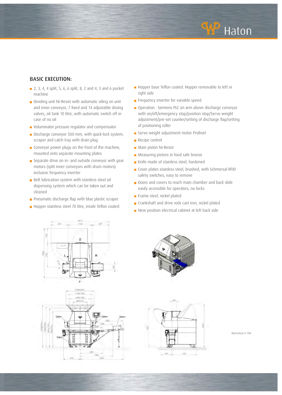

### BASIC EXECUTION:

- **2**, 3, 4, 4 split, 5, 6, 6 split, 8, 2 and 4, 3 and 6 pocket machine
- Dividing unit Ni-Resist with automatic oiling on unit and inner conveyor, 7 fixed and 14 adjustable dosing valves, oil tank 10 litre, with automatic switch off in case of no oil
- Voluminator pressure regulator and compensator
- Discharge conveyor 500 mm, with quick-lock system, scraper and catch tray with drain plug
- $\blacksquare$  Conveyor power plugs on the front of the machine, mounted onto separate mounting plates
- Separate drive on in- and outside conveyor with gear motors (split inner conveyors with drum motors) inclusive frequency inverter
- **Belt lubrication system with stainless steel oil**  dispensing system which can be taken out and cleaned
- **Pheumatic discharge flap with blue plastic scraper**
- Hopper stainless steel 70 litre, inside Teflon coated
- Hopper base Teflon coated. Hopper removable to left or right side
- Frequency inverter for variable speed
- Operation : Siemens PLC on arm above discharge conveyor with on/off/emergency stop/position stop/Servo weight adjustment/pre-set counter/setting of discharge flap/setting of positioning roller
- Servo weight adjustment motor Profinet
- **Recipe control**
- **Main piston Ni-Resist**
- **Measuring pistons in food safe bronze**
- Knife made of stainless steel, hardened
- Cover plates stainless steel, brushed, with Schmersal RFID safety switches, easy to remove
- Doors and covers to reach main chamber and back slide easily accessible for operators, no locks
- Frame steel, nickel plated
- Crankshaft and drive rods cast iron, nickel plated
- New position electrical cabinet at left back side









Illustration V 700